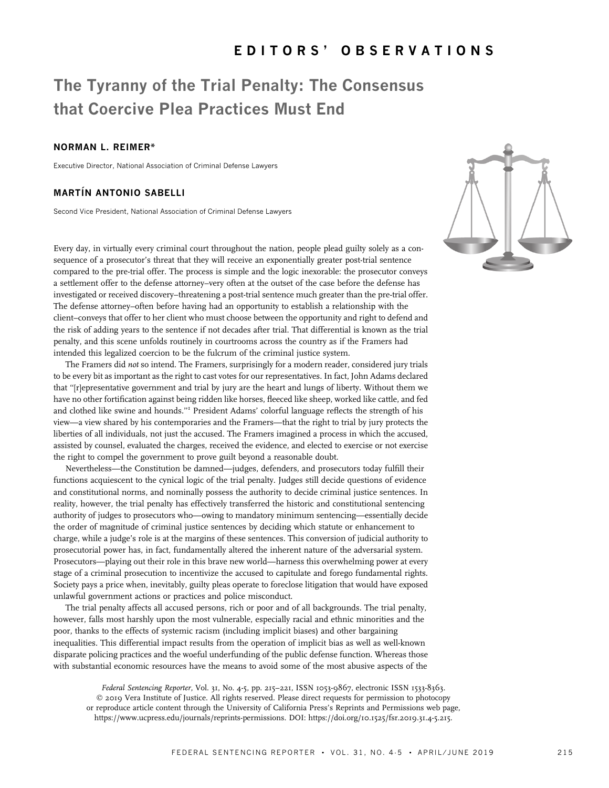# The Tyranny of the Trial Penalty: The Consensus that Coercive Plea Practices Must End

# NORMAN L. REIMER\*

Executive Director, National Association of Criminal Defense Lawyers

## **MARTÍN ANTONIO SABELLI**

Second Vice President, National Association of Criminal Defense Lawyers

Every day, in virtually every criminal court throughout the nation, people plead guilty solely as a consequence of a prosecutor's threat that they will receive an exponentially greater post-trial sentence compared to the pre-trial offer. The process is simple and the logic inexorable: the prosecutor conveys a settlement offer to the defense attorney–very often at the outset of the case before the defense has investigated or received discovery–threatening a post-trial sentence much greater than the pre-trial offer. The defense attorney–often before having had an opportunity to establish a relationship with the client–conveys that offer to her client who must choose between the opportunity and right to defend and the risk of adding years to the sentence if not decades after trial. That differential is known as the trial penalty, and this scene unfolds routinely in courtrooms across the country as if the Framers had intended this legalized coercion to be the fulcrum of the criminal justice system.

The Framers did not so intend. The Framers, surprisingly for a modern reader, considered jury trials to be every bit as important as the right to cast votes for our representatives. In fact, John Adams declared that ''[r]epresentative government and trial by jury are the heart and lungs of liberty. Without them we have no other fortification against being ridden like horses, fleeced like sheep, worked like cattle, and fed and clothed like swine and hounds.''<sup>1</sup> President Adams' colorful language reflects the strength of his view—a view shared by his contemporaries and the Framers—that the right to trial by jury protects the liberties of all individuals, not just the accused. The Framers imagined a process in which the accused, assisted by counsel, evaluated the charges, received the evidence, and elected to exercise or not exercise the right to compel the government to prove guilt beyond a reasonable doubt.

Nevertheless—the Constitution be damned—judges, defenders, and prosecutors today fulfill their functions acquiescent to the cynical logic of the trial penalty. Judges still decide questions of evidence and constitutional norms, and nominally possess the authority to decide criminal justice sentences. In reality, however, the trial penalty has effectively transferred the historic and constitutional sentencing authority of judges to prosecutors who—owing to mandatory minimum sentencing—essentially decide the order of magnitude of criminal justice sentences by deciding which statute or enhancement to charge, while a judge's role is at the margins of these sentences. This conversion of judicial authority to prosecutorial power has, in fact, fundamentally altered the inherent nature of the adversarial system. Prosecutors—playing out their role in this brave new world—harness this overwhelming power at every stage of a criminal prosecution to incentivize the accused to capitulate and forego fundamental rights. Society pays a price when, inevitably, guilty pleas operate to foreclose litigation that would have exposed unlawful government actions or practices and police misconduct.

The trial penalty affects all accused persons, rich or poor and of all backgrounds. The trial penalty, however, falls most harshly upon the most vulnerable, especially racial and ethnic minorities and the poor, thanks to the effects of systemic racism (including implicit biases) and other bargaining inequalities. This differential impact results from the operation of implicit bias as well as well-known disparate policing practices and the woeful underfunding of the public defense function. Whereas those with substantial economic resources have the means to avoid some of the most abusive aspects of the

Federal Sentencing Reporter, Vol. 31, No. 4-5, pp. 215-221, ISSN 1053-9867, electronic ISSN 1533-8363. © 2019 Vera Institute of Justice. All rights reserved. Please direct requests for permission to photocopy or reproduce article content through the University of California Press's Reprints and Permissions web page, https://www.ucpress.edu/journals/reprints-permissions. [DOI: https://doi.org/10.1525/fsr.2019.31.4-5.215.](https://doi.org/10.1525/fsr.2019.31.4-5.215.)

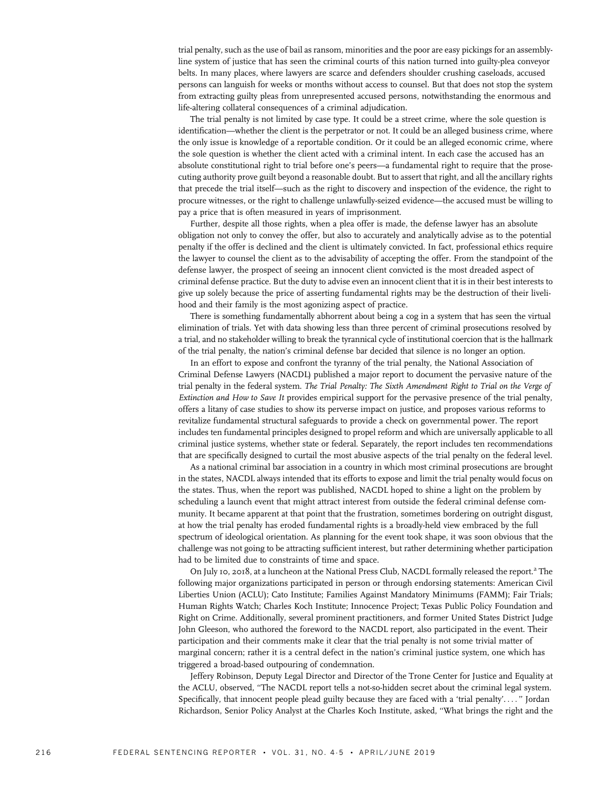trial penalty, such as the use of bail as ransom, minorities and the poor are easy pickings for an assemblyline system of justice that has seen the criminal courts of this nation turned into guilty-plea conveyor belts. In many places, where lawyers are scarce and defenders shoulder crushing caseloads, accused persons can languish for weeks or months without access to counsel. But that does not stop the system from extracting guilty pleas from unrepresented accused persons, notwithstanding the enormous and life-altering collateral consequences of a criminal adjudication.

The trial penalty is not limited by case type. It could be a street crime, where the sole question is identification—whether the client is the perpetrator or not. It could be an alleged business crime, where the only issue is knowledge of a reportable condition. Or it could be an alleged economic crime, where the sole question is whether the client acted with a criminal intent. In each case the accused has an absolute constitutional right to trial before one's peers—a fundamental right to require that the prosecuting authority prove guilt beyond a reasonable doubt. But to assert that right, and all the ancillary rights that precede the trial itself—such as the right to discovery and inspection of the evidence, the right to procure witnesses, or the right to challenge unlawfully-seized evidence—the accused must be willing to pay a price that is often measured in years of imprisonment.

Further, despite all those rights, when a plea offer is made, the defense lawyer has an absolute obligation not only to convey the offer, but also to accurately and analytically advise as to the potential penalty if the offer is declined and the client is ultimately convicted. In fact, professional ethics require the lawyer to counsel the client as to the advisability of accepting the offer. From the standpoint of the defense lawyer, the prospect of seeing an innocent client convicted is the most dreaded aspect of criminal defense practice. But the duty to advise even an innocent client that it is in their best interests to give up solely because the price of asserting fundamental rights may be the destruction of their livelihood and their family is the most agonizing aspect of practice.

There is something fundamentally abhorrent about being a cog in a system that has seen the virtual elimination of trials. Yet with data showing less than three percent of criminal prosecutions resolved by a trial, and no stakeholder willing to break the tyrannical cycle of institutional coercion that is the hallmark of the trial penalty, the nation's criminal defense bar decided that silence is no longer an option.

In an effort to expose and confront the tyranny of the trial penalty, the National Association of Criminal Defense Lawyers (NACDL) published a major report to document the pervasive nature of the trial penalty in the federal system. The Trial Penalty: The Sixth Amendment Right to Trial on the Verge of Extinction and How to Save It provides empirical support for the pervasive presence of the trial penalty, offers a litany of case studies to show its perverse impact on justice, and proposes various reforms to revitalize fundamental structural safeguards to provide a check on governmental power. The report includes ten fundamental principles designed to propel reform and which are universally applicable to all criminal justice systems, whether state or federal. Separately, the report includes ten recommendations that are specifically designed to curtail the most abusive aspects of the trial penalty on the federal level.

As a national criminal bar association in a country in which most criminal prosecutions are brought in the states, NACDL always intended that its efforts to expose and limit the trial penalty would focus on the states. Thus, when the report was published, NACDL hoped to shine a light on the problem by scheduling a launch event that might attract interest from outside the federal criminal defense community. It became apparent at that point that the frustration, sometimes bordering on outright disgust, at how the trial penalty has eroded fundamental rights is a broadly-held view embraced by the full spectrum of ideological orientation. As planning for the event took shape, it was soon obvious that the challenge was not going to be attracting sufficient interest, but rather determining whether participation had to be limited due to constraints of time and space.

On July 10, 2018, at a luncheon at the National Press Club, NACDL formally released the report.<sup>2</sup> The following major organizations participated in person or through endorsing statements: American Civil Liberties Union (ACLU); Cato Institute; Families Against Mandatory Minimums (FAMM); Fair Trials; Human Rights Watch; Charles Koch Institute; Innocence Project; Texas Public Policy Foundation and Right on Crime. Additionally, several prominent practitioners, and former United States District Judge John Gleeson, who authored the foreword to the NACDL report, also participated in the event. Their participation and their comments make it clear that the trial penalty is not some trivial matter of marginal concern; rather it is a central defect in the nation's criminal justice system, one which has triggered a broad-based outpouring of condemnation.

Jeffery Robinson, Deputy Legal Director and Director of the Trone Center for Justice and Equality at the ACLU, observed, ''The NACDL report tells a not-so-hidden secret about the criminal legal system. Specifically, that innocent people plead guilty because they are faced with a 'trial penalty'. ... '' Jordan Richardson, Senior Policy Analyst at the Charles Koch Institute, asked, ''What brings the right and the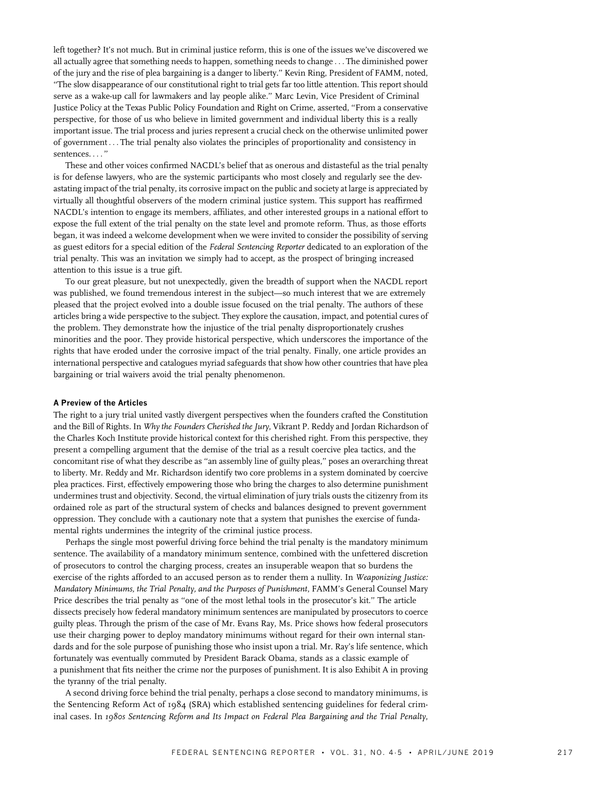left together? It's not much. But in criminal justice reform, this is one of the issues we've discovered we all actually agree that something needs to happen, something needs to change ... The diminished power of the jury and the rise of plea bargaining is a danger to liberty.'' Kevin Ring, President of FAMM, noted, ''The slow disappearance of our constitutional right to trial gets far too little attention. This report should serve as a wake-up call for lawmakers and lay people alike.'' Marc Levin, Vice President of Criminal Justice Policy at the Texas Public Policy Foundation and Right on Crime, asserted, ''From a conservative perspective, for those of us who believe in limited government and individual liberty this is a really important issue. The trial process and juries represent a crucial check on the otherwise unlimited power of government ... The trial penalty also violates the principles of proportionality and consistency in sentences. ... ''

These and other voices confirmed NACDL's belief that as onerous and distasteful as the trial penalty is for defense lawyers, who are the systemic participants who most closely and regularly see the devastating impact of the trial penalty, its corrosive impact on the public and society at large is appreciated by virtually all thoughtful observers of the modern criminal justice system. This support has reaffirmed NACDL's intention to engage its members, affiliates, and other interested groups in a national effort to expose the full extent of the trial penalty on the state level and promote reform. Thus, as those efforts began, it was indeed a welcome development when we were invited to consider the possibility of serving as guest editors for a special edition of the Federal Sentencing Reporter dedicated to an exploration of the trial penalty. This was an invitation we simply had to accept, as the prospect of bringing increased attention to this issue is a true gift.

To our great pleasure, but not unexpectedly, given the breadth of support when the NACDL report was published, we found tremendous interest in the subject—so much interest that we are extremely pleased that the project evolved into a double issue focused on the trial penalty. The authors of these articles bring a wide perspective to the subject. They explore the causation, impact, and potential cures of the problem. They demonstrate how the injustice of the trial penalty disproportionately crushes minorities and the poor. They provide historical perspective, which underscores the importance of the rights that have eroded under the corrosive impact of the trial penalty. Finally, one article provides an international perspective and catalogues myriad safeguards that show how other countries that have plea bargaining or trial waivers avoid the trial penalty phenomenon.

## A Preview of the Articles

The right to a jury trial united vastly divergent perspectives when the founders crafted the Constitution and the Bill of Rights. In Why the Founders Cherished the Jury, Vikrant P. Reddy and Jordan Richardson of the Charles Koch Institute provide historical context for this cherished right. From this perspective, they present a compelling argument that the demise of the trial as a result coercive plea tactics, and the concomitant rise of what they describe as ''an assembly line of guilty pleas,'' poses an overarching threat to liberty. Mr. Reddy and Mr. Richardson identify two core problems in a system dominated by coercive plea practices. First, effectively empowering those who bring the charges to also determine punishment undermines trust and objectivity. Second, the virtual elimination of jury trials ousts the citizenry from its ordained role as part of the structural system of checks and balances designed to prevent government oppression. They conclude with a cautionary note that a system that punishes the exercise of fundamental rights undermines the integrity of the criminal justice process.

Perhaps the single most powerful driving force behind the trial penalty is the mandatory minimum sentence. The availability of a mandatory minimum sentence, combined with the unfettered discretion of prosecutors to control the charging process, creates an insuperable weapon that so burdens the exercise of the rights afforded to an accused person as to render them a nullity. In Weaponizing Justice: Mandatory Minimums, the Trial Penalty, and the Purposes of Punishment, FAMM's General Counsel Mary Price describes the trial penalty as "one of the most lethal tools in the prosecutor's kit." The article dissects precisely how federal mandatory minimum sentences are manipulated by prosecutors to coerce guilty pleas. Through the prism of the case of Mr. Evans Ray, Ms. Price shows how federal prosecutors use their charging power to deploy mandatory minimums without regard for their own internal standards and for the sole purpose of punishing those who insist upon a trial. Mr. Ray's life sentence, which fortunately was eventually commuted by President Barack Obama, stands as a classic example of a punishment that fits neither the crime nor the purposes of punishment. It is also Exhibit A in proving the tyranny of the trial penalty.

A second driving force behind the trial penalty, perhaps a close second to mandatory minimums, is the Sentencing Reform Act of 1984 (SRA) which established sentencing guidelines for federal criminal cases. In 1980s Sentencing Reform and Its Impact on Federal Plea Bargaining and the Trial Penalty,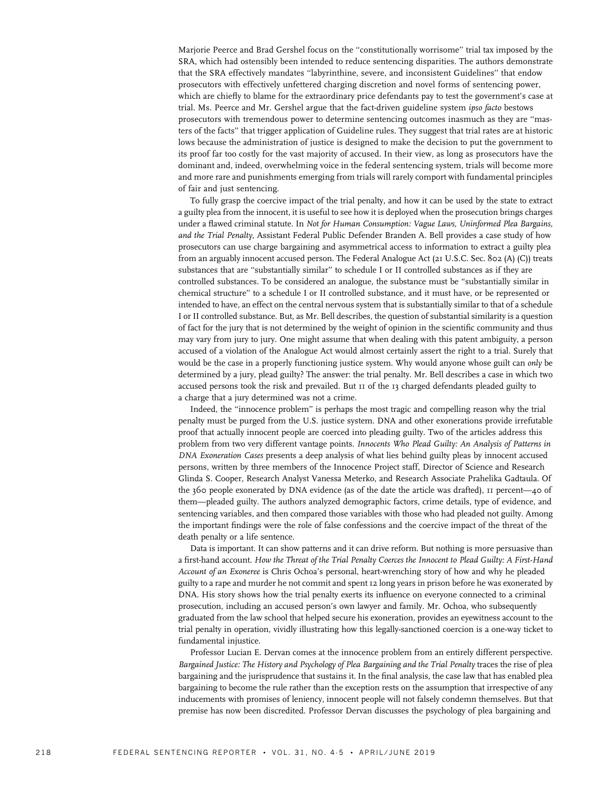Marjorie Peerce and Brad Gershel focus on the ''constitutionally worrisome'' trial tax imposed by the SRA, which had ostensibly been intended to reduce sentencing disparities. The authors demonstrate that the SRA effectively mandates ''labyrinthine, severe, and inconsistent Guidelines'' that endow prosecutors with effectively unfettered charging discretion and novel forms of sentencing power, which are chiefly to blame for the extraordinary price defendants pay to test the government's case at trial. Ms. Peerce and Mr. Gershel argue that the fact-driven guideline system ipso facto bestows prosecutors with tremendous power to determine sentencing outcomes inasmuch as they are ''masters of the facts'' that trigger application of Guideline rules. They suggest that trial rates are at historic lows because the administration of justice is designed to make the decision to put the government to its proof far too costly for the vast majority of accused. In their view, as long as prosecutors have the dominant and, indeed, overwhelming voice in the federal sentencing system, trials will become more and more rare and punishments emerging from trials will rarely comport with fundamental principles of fair and just sentencing.

To fully grasp the coercive impact of the trial penalty, and how it can be used by the state to extract a guilty plea from the innocent, it is useful to see how it is deployed when the prosecution brings charges under a flawed criminal statute. In Not for Human Consumption: Vague Laws, Uninformed Plea Bargains, and the Trial Penalty, Assistant Federal Public Defender Branden A. Bell provides a case study of how prosecutors can use charge bargaining and asymmetrical access to information to extract a guilty plea from an arguably innocent accused person. The Federal Analogue Act (21 U.S.C. Sec. 802 (A) (C)) treats substances that are ''substantially similar'' to schedule I or II controlled substances as if they are controlled substances. To be considered an analogue, the substance must be ''substantially similar in chemical structure'' to a schedule I or II controlled substance, and it must have, or be represented or intended to have, an effect on the central nervous system that is substantially similar to that of a schedule I or II controlled substance. But, as Mr. Bell describes, the question of substantial similarity is a question of fact for the jury that is not determined by the weight of opinion in the scientific community and thus may vary from jury to jury. One might assume that when dealing with this patent ambiguity, a person accused of a violation of the Analogue Act would almost certainly assert the right to a trial. Surely that would be the case in a properly functioning justice system. Why would anyone whose guilt can only be determined by a jury, plead guilty? The answer: the trial penalty. Mr. Bell describes a case in which two accused persons took the risk and prevailed. But 11 of the 13 charged defendants pleaded guilty to a charge that a jury determined was not a crime.

Indeed, the ''innocence problem'' is perhaps the most tragic and compelling reason why the trial penalty must be purged from the U.S. justice system. DNA and other exonerations provide irrefutable proof that actually innocent people are coerced into pleading guilty. Two of the articles address this problem from two very different vantage points. Innocents Who Plead Guilty: An Analysis of Patterns in DNA Exoneration Cases presents a deep analysis of what lies behind guilty pleas by innocent accused persons, written by three members of the Innocence Project staff, Director of Science and Research Glinda S. Cooper, Research Analyst Vanessa Meterko, and Research Associate Prahelika Gadtaula. Of the 360 people exonerated by DNA evidence (as of the date the article was drafted), 11 percent—40 of them—pleaded guilty. The authors analyzed demographic factors, crime details, type of evidence, and sentencing variables, and then compared those variables with those who had pleaded not guilty. Among the important findings were the role of false confessions and the coercive impact of the threat of the death penalty or a life sentence.

Data is important. It can show patterns and it can drive reform. But nothing is more persuasive than a first-hand account. How the Threat of the Trial Penalty Coerces the Innocent to Plead Guilty: A First-Hand Account of an Exoneree is Chris Ochoa's personal, heart-wrenching story of how and why he pleaded guilty to a rape and murder he not commit and spent 12 long years in prison before he was exonerated by DNA. His story shows how the trial penalty exerts its influence on everyone connected to a criminal prosecution, including an accused person's own lawyer and family. Mr. Ochoa, who subsequently graduated from the law school that helped secure his exoneration, provides an eyewitness account to the trial penalty in operation, vividly illustrating how this legally-sanctioned coercion is a one-way ticket to fundamental injustice.

Professor Lucian E. Dervan comes at the innocence problem from an entirely different perspective. Bargained Justice: The History and Psychology of Plea Bargaining and the Trial Penalty traces the rise of plea bargaining and the jurisprudence that sustains it. In the final analysis, the case law that has enabled plea bargaining to become the rule rather than the exception rests on the assumption that irrespective of any inducements with promises of leniency, innocent people will not falsely condemn themselves. But that premise has now been discredited. Professor Dervan discusses the psychology of plea bargaining and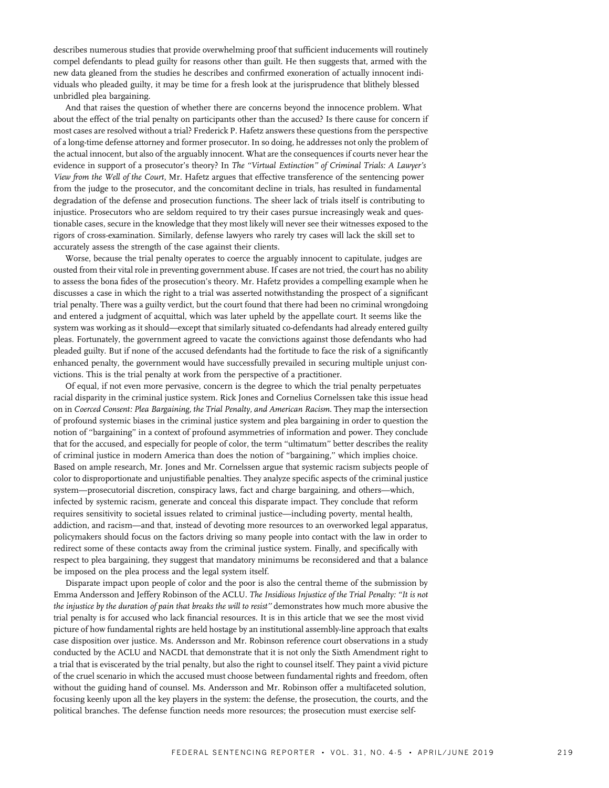describes numerous studies that provide overwhelming proof that sufficient inducements will routinely compel defendants to plead guilty for reasons other than guilt. He then suggests that, armed with the new data gleaned from the studies he describes and confirmed exoneration of actually innocent individuals who pleaded guilty, it may be time for a fresh look at the jurisprudence that blithely blessed unbridled plea bargaining.

And that raises the question of whether there are concerns beyond the innocence problem. What about the effect of the trial penalty on participants other than the accused? Is there cause for concern if most cases are resolved without a trial? Frederick P. Hafetz answers these questions from the perspective of a long-time defense attorney and former prosecutor. In so doing, he addresses not only the problem of the actual innocent, but also of the arguably innocent. What are the consequences if courts never hear the evidence in support of a prosecutor's theory? In The ''Virtual Extinction'' of Criminal Trials: A Lawyer's View from the Well of the Court, Mr. Hafetz argues that effective transference of the sentencing power from the judge to the prosecutor, and the concomitant decline in trials, has resulted in fundamental degradation of the defense and prosecution functions. The sheer lack of trials itself is contributing to injustice. Prosecutors who are seldom required to try their cases pursue increasingly weak and questionable cases, secure in the knowledge that they most likely will never see their witnesses exposed to the rigors of cross-examination. Similarly, defense lawyers who rarely try cases will lack the skill set to accurately assess the strength of the case against their clients.

Worse, because the trial penalty operates to coerce the arguably innocent to capitulate, judges are ousted from their vital role in preventing government abuse. If cases are not tried, the court has no ability to assess the bona fides of the prosecution's theory. Mr. Hafetz provides a compelling example when he discusses a case in which the right to a trial was asserted notwithstanding the prospect of a significant trial penalty. There was a guilty verdict, but the court found that there had been no criminal wrongdoing and entered a judgment of acquittal, which was later upheld by the appellate court. It seems like the system was working as it should—except that similarly situated co-defendants had already entered guilty pleas. Fortunately, the government agreed to vacate the convictions against those defendants who had pleaded guilty. But if none of the accused defendants had the fortitude to face the risk of a significantly enhanced penalty, the government would have successfully prevailed in securing multiple unjust convictions. This is the trial penalty at work from the perspective of a practitioner.

Of equal, if not even more pervasive, concern is the degree to which the trial penalty perpetuates racial disparity in the criminal justice system. Rick Jones and Cornelius Cornelssen take this issue head on in Coerced Consent: Plea Bargaining, the Trial Penalty, and American Racism. They map the intersection of profound systemic biases in the criminal justice system and plea bargaining in order to question the notion of ''bargaining'' in a context of profound asymmetries of information and power. They conclude that for the accused, and especially for people of color, the term ''ultimatum'' better describes the reality of criminal justice in modern America than does the notion of ''bargaining,'' which implies choice. Based on ample research, Mr. Jones and Mr. Cornelssen argue that systemic racism subjects people of color to disproportionate and unjustifiable penalties. They analyze specific aspects of the criminal justice system—prosecutorial discretion, conspiracy laws, fact and charge bargaining, and others—which, infected by systemic racism, generate and conceal this disparate impact. They conclude that reform requires sensitivity to societal issues related to criminal justice—including poverty, mental health, addiction, and racism—and that, instead of devoting more resources to an overworked legal apparatus, policymakers should focus on the factors driving so many people into contact with the law in order to redirect some of these contacts away from the criminal justice system. Finally, and specifically with respect to plea bargaining, they suggest that mandatory minimums be reconsidered and that a balance be imposed on the plea process and the legal system itself.

Disparate impact upon people of color and the poor is also the central theme of the submission by Emma Andersson and Jeffery Robinson of the ACLU. The Insidious Injustice of the Trial Penalty: ''It is not the injustice by the duration of pain that breaks the will to resist'' demonstrates how much more abusive the trial penalty is for accused who lack financial resources. It is in this article that we see the most vivid picture of how fundamental rights are held hostage by an institutional assembly-line approach that exalts case disposition over justice. Ms. Andersson and Mr. Robinson reference court observations in a study conducted by the ACLU and NACDL that demonstrate that it is not only the Sixth Amendment right to a trial that is eviscerated by the trial penalty, but also the right to counsel itself. They paint a vivid picture of the cruel scenario in which the accused must choose between fundamental rights and freedom, often without the guiding hand of counsel. Ms. Andersson and Mr. Robinson offer a multifaceted solution, focusing keenly upon all the key players in the system: the defense, the prosecution, the courts, and the political branches. The defense function needs more resources; the prosecution must exercise self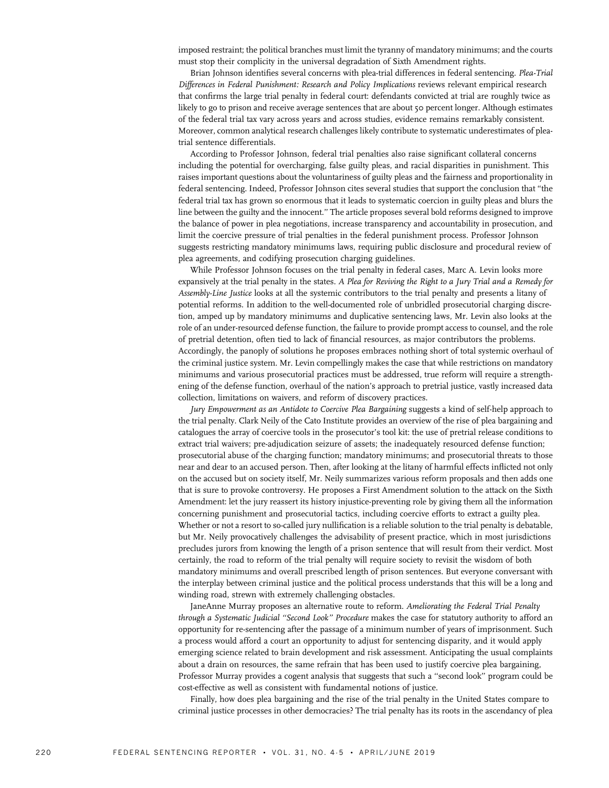imposed restraint; the political branches must limit the tyranny of mandatory minimums; and the courts must stop their complicity in the universal degradation of Sixth Amendment rights.

Brian Johnson identifies several concerns with plea-trial differences in federal sentencing. Plea-Trial Differences in Federal Punishment: Research and Policy Implications reviews relevant empirical research that confirms the large trial penalty in federal court: defendants convicted at trial are roughly twice as likely to go to prison and receive average sentences that are about 50 percent longer. Although estimates of the federal trial tax vary across years and across studies, evidence remains remarkably consistent. Moreover, common analytical research challenges likely contribute to systematic underestimates of pleatrial sentence differentials.

According to Professor Johnson, federal trial penalties also raise significant collateral concerns including the potential for overcharging, false guilty pleas, and racial disparities in punishment. This raises important questions about the voluntariness of guilty pleas and the fairness and proportionality in federal sentencing. Indeed, Professor Johnson cites several studies that support the conclusion that ''the federal trial tax has grown so enormous that it leads to systematic coercion in guilty pleas and blurs the line between the guilty and the innocent.'' The article proposes several bold reforms designed to improve the balance of power in plea negotiations, increase transparency and accountability in prosecution, and limit the coercive pressure of trial penalties in the federal punishment process. Professor Johnson suggests restricting mandatory minimums laws, requiring public disclosure and procedural review of plea agreements, and codifying prosecution charging guidelines.

While Professor Johnson focuses on the trial penalty in federal cases, Marc A. Levin looks more expansively at the trial penalty in the states. A Plea for Reviving the Right to a Jury Trial and a Remedy for Assembly-Line Justice looks at all the systemic contributors to the trial penalty and presents a litany of potential reforms. In addition to the well-documented role of unbridled prosecutorial charging discretion, amped up by mandatory minimums and duplicative sentencing laws, Mr. Levin also looks at the role of an under-resourced defense function, the failure to provide prompt access to counsel, and the role of pretrial detention, often tied to lack of financial resources, as major contributors the problems. Accordingly, the panoply of solutions he proposes embraces nothing short of total systemic overhaul of the criminal justice system. Mr. Levin compellingly makes the case that while restrictions on mandatory minimums and various prosecutorial practices must be addressed, true reform will require a strengthening of the defense function, overhaul of the nation's approach to pretrial justice, vastly increased data collection, limitations on waivers, and reform of discovery practices.

Jury Empowerment as an Antidote to Coercive Plea Bargaining suggests a kind of self-help approach to the trial penalty. Clark Neily of the Cato Institute provides an overview of the rise of plea bargaining and catalogues the array of coercive tools in the prosecutor's tool kit: the use of pretrial release conditions to extract trial waivers; pre-adjudication seizure of assets; the inadequately resourced defense function; prosecutorial abuse of the charging function; mandatory minimums; and prosecutorial threats to those near and dear to an accused person. Then, after looking at the litany of harmful effects inflicted not only on the accused but on society itself, Mr. Neily summarizes various reform proposals and then adds one that is sure to provoke controversy. He proposes a First Amendment solution to the attack on the Sixth Amendment: let the jury reassert its history injustice-preventing role by giving them all the information concerning punishment and prosecutorial tactics, including coercive efforts to extract a guilty plea. Whether or not a resort to so-called jury nullification is a reliable solution to the trial penalty is debatable, but Mr. Neily provocatively challenges the advisability of present practice, which in most jurisdictions precludes jurors from knowing the length of a prison sentence that will result from their verdict. Most certainly, the road to reform of the trial penalty will require society to revisit the wisdom of both mandatory minimums and overall prescribed length of prison sentences. But everyone conversant with the interplay between criminal justice and the political process understands that this will be a long and winding road, strewn with extremely challenging obstacles.

JaneAnne Murray proposes an alternative route to reform. Ameliorating the Federal Trial Penalty through a Systematic Judicial ''Second Look'' Procedure makes the case for statutory authority to afford an opportunity for re-sentencing after the passage of a minimum number of years of imprisonment. Such a process would afford a court an opportunity to adjust for sentencing disparity, and it would apply emerging science related to brain development and risk assessment. Anticipating the usual complaints about a drain on resources, the same refrain that has been used to justify coercive plea bargaining, Professor Murray provides a cogent analysis that suggests that such a ''second look'' program could be cost-effective as well as consistent with fundamental notions of justice.

Finally, how does plea bargaining and the rise of the trial penalty in the United States compare to criminal justice processes in other democracies? The trial penalty has its roots in the ascendancy of plea